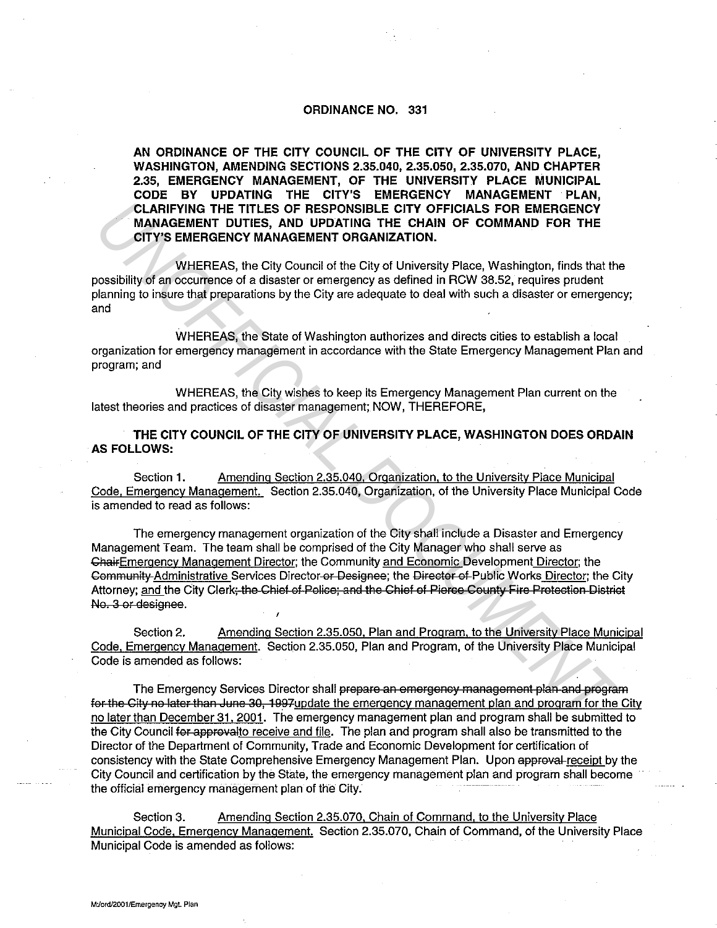## **ORDINANCE NO. 331**

**AN ORDINANCE OF THE CITY COUNCIL OF THE CITY OF UNIVERSITY PLACE, WASHINGTON, AMENDING SECTIONS 2.35.040, 2.35.050, 2.35.070, AND CHAPTER 2.35, EMERGENCY MANAGEMENT, OF THE UNIVERSITY PLACE MUNICIPAL CODE BY UPDATING THE CITY'S EMERGENCY MANAGEMENT PLAN, CLARIFYING THE TITLES OF RESPONSIBLE CITY OFFICIALS FOR EMERGENCY MANAGEMENT DUTIES, AND UPDATING THE CHAIN OF COMMAND FOR THE CITY'S EMERGENCY MANAGEMENT ORGANIZATION.** 

WHEREAS, the City Council of the City of University Place, Washington, finds that the possibility of an occurrence of a disaster or emergency as defined in RCW 38.52, requires prudent planning to insure that preparations by the City are adequate to deal with such a disaster or emergency; and

WHEREAS, the State of Washington authorizes and directs cities to establish a local organization for emergency management in accordance with the State Emergency Management Plan and program; and

WHEREAS, the City wishes to keep its Emergency Management Plan current on the latest theories and practices of disaster management; NOW, THEREFORE,

**THE CITY COUNCIL OF THE CITY OF UNIVERSITY PLACE, WASHINGTON DOES ORDAIN AS FOLLOWS:** 

Section 1. Amending Section 2.35.040. Organization. to the University Place Municipal Code. Emergency Management. Section 2.35.040, Organization, of the University Place Municipal Code is amended to read as follows:

The emergency management organization of the City shall include a Disaster and Emergency Management Team. The team shall be comprised of the City Manager who shall serve as GhairEmergency Management Director; the Community and Economic Development Director; the Community Administrative Services Director or Designee; the Director of Public Works Director; the City Attorney; and the City Clerk; the Chief of Police; and the Chief of Pierce County Fire Protection District No. 3 or designee. CLARIFYING THE TITLES OF RESPONSIBLE CITY OF DEMAND TO COMMAND FOR BMERGENCY<br>
MANAGEMENT DUTIES, AND UPDATING THE CHAIN OF COMMAND FOR<br>
CITY'S EMERGENCY MANAGEMENT ORGANIZATION.<br>
CONTRADISTING THE CONSIDENT OF COMMAND FOR

Section 2. Amending Section 2.35.050, Plan and Program, to the University Place Municipal Code, Emergency Management. Section 2.35.050, Plan and Program, of the University Place Municipal Code is amended as follows:

The Emergency Services Director shall prepare an emergency management plan and program for the City no later than June 30, 1997 update the emergency management plan and program for the City no later than December 31. 2001. The emergency management plan and program shall be submitted to the City Council for approvalto receive and file. The plan and program shall also be transmitted to the Director of the Department of Community, Trade and Economic Development for certification of consistency with the State Comprehensive Emergency Management Plan. Upon approval receipt by the City Council and certification by the State, the emergency management plan and program shall become the official emergency management plan of the City.

Section 3. Amending Section 2.35.070. Chain of Command. to the University Place Municipal Code, Emergency Management. Section 2.35.070, Chain of Command, of the University Place Municipal Code is amended as follows: